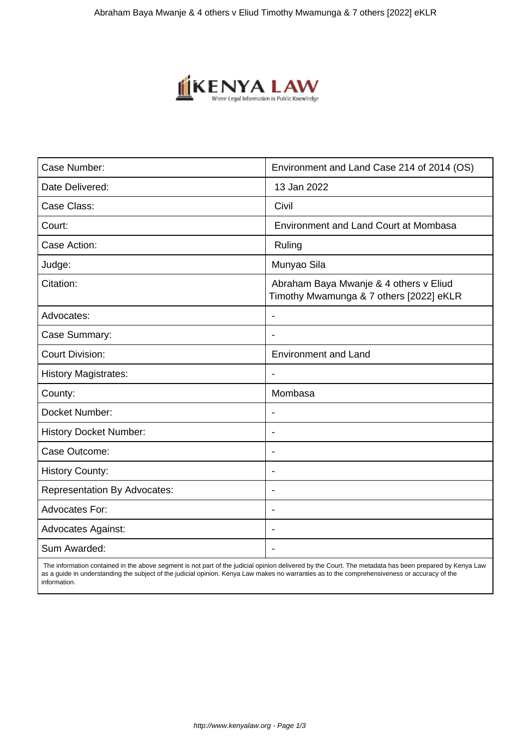

| Case Number:                        | Environment and Land Case 214 of 2014 (OS)                                        |
|-------------------------------------|-----------------------------------------------------------------------------------|
| Date Delivered:                     | 13 Jan 2022                                                                       |
| Case Class:                         | Civil                                                                             |
| Court:                              | <b>Environment and Land Court at Mombasa</b>                                      |
| Case Action:                        | Ruling                                                                            |
| Judge:                              | Munyao Sila                                                                       |
| Citation:                           | Abraham Baya Mwanje & 4 others v Eliud<br>Timothy Mwamunga & 7 others [2022] eKLR |
| Advocates:                          | L,                                                                                |
| Case Summary:                       |                                                                                   |
| <b>Court Division:</b>              | <b>Environment and Land</b>                                                       |
| <b>History Magistrates:</b>         | $\overline{\phantom{a}}$                                                          |
| County:                             | Mombasa                                                                           |
| Docket Number:                      |                                                                                   |
| <b>History Docket Number:</b>       | ٠                                                                                 |
| Case Outcome:                       | ٠                                                                                 |
| <b>History County:</b>              | $\overline{\phantom{a}}$                                                          |
| <b>Representation By Advocates:</b> | ٠                                                                                 |
| <b>Advocates For:</b>               | ٠                                                                                 |
| <b>Advocates Against:</b>           |                                                                                   |
| Sum Awarded:                        |                                                                                   |

 The information contained in the above segment is not part of the judicial opinion delivered by the Court. The metadata has been prepared by Kenya Law as a guide in understanding the subject of the judicial opinion. Kenya Law makes no warranties as to the comprehensiveness or accuracy of the information.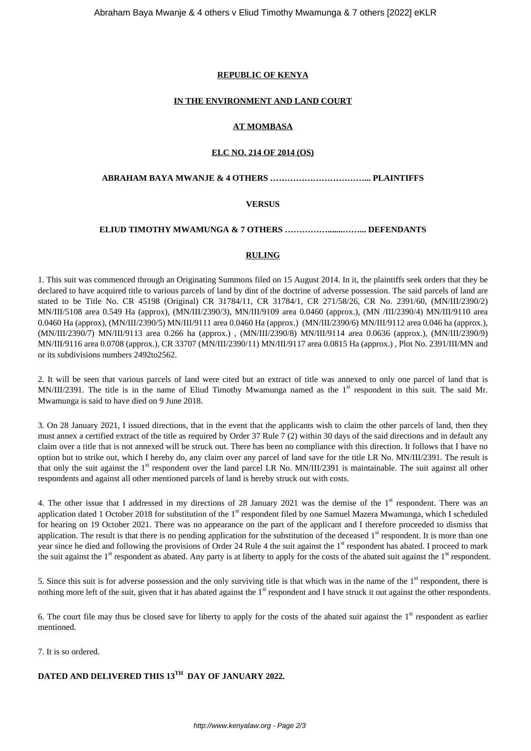## **REPUBLIC OF KENYA**

#### **IN THE ENVIRONMENT AND LAND COURT**

## **AT MOMBASA**

#### **ELC NO. 214 OF 2014 (OS)**

#### **ABRAHAM BAYA MWANJE & 4 OTHERS ……………………………... PLAINTIFFS**

## **VERSUS**

## **ELIUD TIMOTHY MWAMUNGA & 7 OTHERS …………….......……... DEFENDANTS**

#### **RULING**

1. This suit was commenced through an Originating Summons filed on 15 August 2014. In it, the plaintiffs seek orders that they be declared to have acquired title to various parcels of land by dint of the doctrine of adverse possession. The said parcels of land are stated to be Title No. CR 45198 (Original) CR 31784/11, CR 31784/1, CR 271/58/26, CR No. 2391/60, (MN/III/2390/2) MN/III/5108 area 0.549 Ha (approx), (MN/III/2390/3), MN/III/9109 area 0.0460 (approx.), (MN /III/2390/4) MN/III/9110 area 0.0460 Ha (approx), (MN/III/2390/5) MN/III/9111 area 0.0460 Ha (approx.) (MN/III/2390/6) MN/III/9112 area 0.046 ha (approx.), (MN/III/2390/7) MN/III/9113 area 0.266 ha (approx.) , (MN/III/2390/8) MN/III/9114 area 0.0636 (approx.), (MN/III/2390/9) MN/III/9116 area 0.0708 (approx.), CR 33707 (MN/III/2390/11) MN/III/9117 area 0.0815 Ha (approx.) , Plot No. 2391/III/MN and or its subdivisions numbers 2492to2562.

2. It will be seen that various parcels of land were cited but an extract of title was annexed to only one parcel of land that is MN/III/2391. The title is in the name of Eliud Timothy Mwamunga named as the 1<sup>st</sup> respondent in this suit. The said Mr. Mwamunga is said to have died on 9 June 2018.

3. On 28 January 2021, I issued directions, that in the event that the applicants wish to claim the other parcels of land, then they must annex a certified extract of the title as required by Order 37 Rule 7 (2) within 30 days of the said directions and in default any claim over a title that is not annexed will be struck out. There has been no compliance with this direction. It follows that I have no option but to strike out, which I hereby do, any claim over any parcel of land save for the title LR No. MN/III/2391. The result is that only the suit against the  $1<sup>st</sup>$  respondent over the land parcel LR No. MN/III/2391 is maintainable. The suit against all other respondents and against all other mentioned parcels of land is hereby struck out with costs.

4. The other issue that I addressed in my directions of 28 January 2021 was the demise of the  $1<sup>st</sup>$  respondent. There was an application dated 1 October 2018 for substitution of the  $1<sup>st</sup>$  respondent filed by one Samuel Mazera Mwamunga, which I scheduled for hearing on 19 October 2021. There was no appearance on the part of the applicant and I therefore proceeded to dismiss that application. The result is that there is no pending application for the substitution of the deceased  $1<sup>st</sup>$  respondent. It is more than one year since he died and following the provisions of Order 24 Rule 4 the suit against the 1<sup>st</sup> respondent has abated. I proceed to mark the suit against the  $1<sup>st</sup>$  respondent as abated. Any party is at liberty to apply for the costs of the abated suit against the  $1<sup>st</sup>$  respondent.

5. Since this suit is for adverse possession and the only surviving title is that which was in the name of the 1<sup>st</sup> respondent, there is nothing more left of the suit, given that it has abated against the 1<sup>st</sup> respondent and I have struck it out against the other respondents.

6. The court file may thus be closed save for liberty to apply for the costs of the abated suit against the  $1<sup>st</sup>$  respondent as earlier mentioned.

7. It is so ordered.

# **DATED AND DELIVERED THIS 13TH DAY OF JANUARY 2022.**